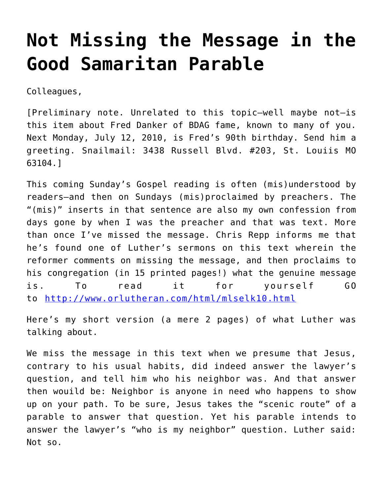## **[Not Missing the Message in the](https://crossings.org/not-missing-the-message-in-the-good-samaritan-parable/) [Good Samaritan Parable](https://crossings.org/not-missing-the-message-in-the-good-samaritan-parable/)**

Colleagues,

[Preliminary note. Unrelated to this topic–well maybe not–is this item about Fred Danker of BDAG fame, known to many of you. Next Monday, July 12, 2010, is Fred's 90th birthday. Send him a greeting. Snailmail: 3438 Russell Blvd. #203, St. Louiis MO 63104.]

This coming Sunday's Gospel reading is often (mis)understood by readers–and then on Sundays (mis)proclaimed by preachers. The "(mis)" inserts in that sentence are also my own confession from days gone by when I was the preacher and that was text. More than once I've missed the message. Chris Repp informs me that he's found one of Luther's sermons on this text wherein the reformer comments on missing the message, and then proclaims to his congregation (in 15 printed pages!) what the genuine message is. To read it for yourself GO to <http://www.orlutheran.com/html/mlselk10.html>

Here's my short version (a mere 2 pages) of what Luther was talking about.

We miss the message in this text when we presume that Jesus, contrary to his usual habits, did indeed answer the lawyer's question, and tell him who his neighbor was. And that answer then wouild be: Neighbor is anyone in need who happens to show up on your path. To be sure, Jesus takes the "scenic route" of a parable to answer that question. Yet his parable intends to answer the lawyer's "who is my neighbor" question. Luther said: Not so.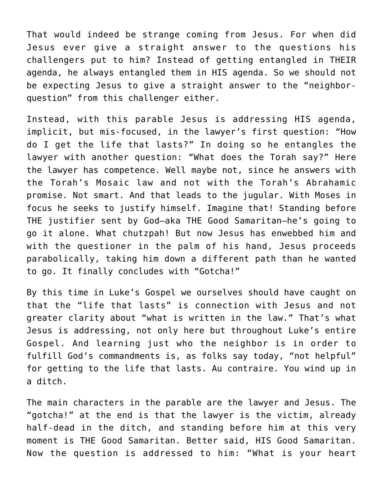That would indeed be strange coming from Jesus. For when did Jesus ever give a straight answer to the questions his challengers put to him? Instead of getting entangled in THEIR agenda, he always entangled them in HIS agenda. So we should not be expecting Jesus to give a straight answer to the "neighborquestion" from this challenger either.

Instead, with this parable Jesus is addressing HIS agenda, implicit, but mis-focused, in the lawyer's first question: "How do I get the life that lasts?" In doing so he entangles the lawyer with another question: "What does the Torah say?" Here the lawyer has competence. Well maybe not, since he answers with the Torah's Mosaic law and not with the Torah's Abrahamic promise. Not smart. And that leads to the jugular. With Moses in focus he seeks to justify himself. Imagine that! Standing before THE justifier sent by God–aka THE Good Samaritan–he's going to go it alone. What chutzpah! But now Jesus has enwebbed him and with the questioner in the palm of his hand, Jesus proceeds parabolically, taking him down a different path than he wanted to go. It finally concludes with "Gotcha!"

By this time in Luke's Gospel we ourselves should have caught on that the "life that lasts" is connection with Jesus and not greater clarity about "what is written in the law." That's what Jesus is addressing, not only here but throughout Luke's entire Gospel. And learning just who the neighbor is in order to fulfill God's commandments is, as folks say today, "not helpful" for getting to the life that lasts. Au contraire. You wind up in a ditch.

The main characters in the parable are the lawyer and Jesus. The "gotcha!" at the end is that the lawyer is the victim, already half-dead in the ditch, and standing before him at this very moment is THE Good Samaritan. Better said, HIS Good Samaritan. Now the question is addressed to him: "What is your heart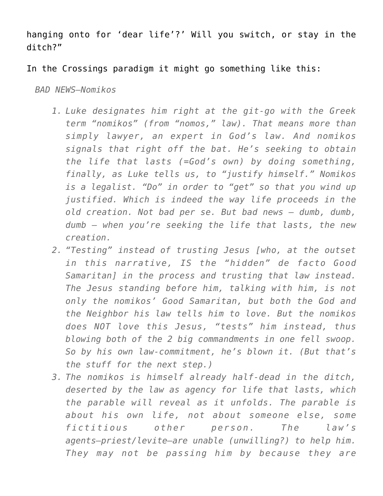hanging onto for 'dear life'?' Will you switch, or stay in the ditch?"

## In the Crossings paradigm it might go something like this:

*BAD NEWS–Nomikos*

- *1. Luke designates him right at the git-go with the Greek term "nomikos" (from "nomos," law). That means more than simply lawyer, an expert in God's law. And nomikos signals that right off the bat. He's seeking to obtain the life that lasts (=God's own) by doing something, finally, as Luke tells us, to "justify himself." Nomikos is a legalist. "Do" in order to "get" so that you wind up justified. Which is indeed the way life proceeds in the old creation. Not bad per se. But bad news — dumb, dumb, dumb — when you're seeking the life that lasts, the new creation.*
- *2. "Testing" instead of trusting Jesus [who, at the outset in this narrative, IS the "hidden" de facto Good Samaritan] in the process and trusting that law instead. The Jesus standing before him, talking with him, is not only the nomikos' Good Samaritan, but both the God and the Neighbor his law tells him to love. But the nomikos does NOT love this Jesus, "tests" him instead, thus blowing both of the 2 big commandments in one fell swoop. So by his own law-commitment, he's blown it. (But that's the stuff for the next step.)*
- *3. The nomikos is himself already half-dead in the ditch, deserted by the law as agency for life that lasts, which the parable will reveal as it unfolds. The parable is about his own life, not about someone else, some fictitious other person. The law's agents–priest/levite–are unable (unwilling?) to help him. They may not be passing him by because they are*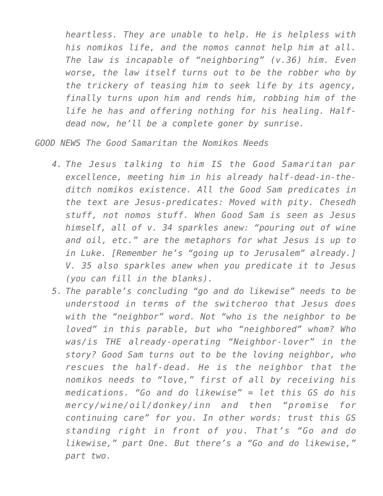*heartless. They are unable to help. He is helpless with his nomikos life, and the nomos cannot help him at all. The law is incapable of "neighboring" (v.36) him. Even worse, the law itself turns out to be the robber who by the trickery of teasing him to seek life by its agency, finally turns upon him and rends him, robbing him of the life he has and offering nothing for his healing. Halfdead now, he'll be a complete goner by sunrise.*

*GOOD NEWS The Good Samaritan the Nomikos Needs*

- *4. The Jesus talking to him IS the Good Samaritan par excellence, meeting him in his already half-dead-in-theditch nomikos existence. All the Good Sam predicates in the text are Jesus-predicates: Moved with pity. Chesedh stuff, not nomos stuff. When Good Sam is seen as Jesus himself, all of v. 34 sparkles anew: "pouring out of wine and oil, etc." are the metaphors for what Jesus is up to in Luke. [Remember he's "going up to Jerusalem" already.] V. 35 also sparkles anew when you predicate it to Jesus (you can fill in the blanks).*
- *5. The parable's concluding "go and do likewise" needs to be understood in terms of the switcheroo that Jesus does with the "neighbor" word. Not "who is the neighbor to be loved" in this parable, but who "neighbored" whom? Who was/is THE already-operating "Neighbor-lover" in the story? Good Sam turns out to be the loving neighbor, who rescues the half-dead. He is the neighbor that the nomikos needs to "love," first of all by receiving his medications. "Go and do likewise" = let this GS do his mercy/wine/oil/donkey/inn and then "promise for continuing care" for you. In other words: trust this GS standing right in front of you. That's "Go and do likewise," part One. But there's a "Go and do likewise," part two.*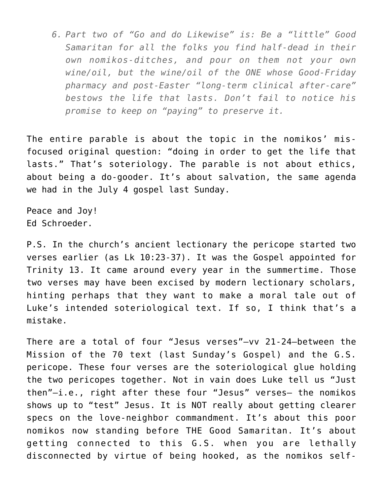*6. Part two of "Go and do Likewise" is: Be a "little" Good Samaritan for all the folks you find half-dead in their own nomikos-ditches, and pour on them not your own wine/oil, but the wine/oil of the ONE whose Good-Friday pharmacy and post-Easter "long-term clinical after-care" bestows the life that lasts. Don't fail to notice his promise to keep on "paying" to preserve it.*

The entire parable is about the topic in the nomikos' misfocused original question: "doing in order to get the life that lasts." That's soteriology. The parable is not about ethics, about being a do-gooder. It's about salvation, the same agenda we had in the July 4 gospel last Sunday.

Peace and Joy! Ed Schroeder.

P.S. In the church's ancient lectionary the pericope started two verses earlier (as Lk 10:23-37). It was the Gospel appointed for Trinity 13. It came around every year in the summertime. Those two verses may have been excised by modern lectionary scholars, hinting perhaps that they want to make a moral tale out of Luke's intended soteriological text. If so, I think that's a mistake.

There are a total of four "Jesus verses"–vv 21-24–between the Mission of the 70 text (last Sunday's Gospel) and the G.S. pericope. These four verses are the soteriological glue holding the two pericopes together. Not in vain does Luke tell us "Just then"–i.e., right after these four "Jesus" verses– the nomikos shows up to "test" Jesus. It is NOT really about getting clearer specs on the love-neighbor commandment. It's about this poor nomikos now standing before THE Good Samaritan. It's about getting connected to this G.S. when you are lethally disconnected by virtue of being hooked, as the nomikos self